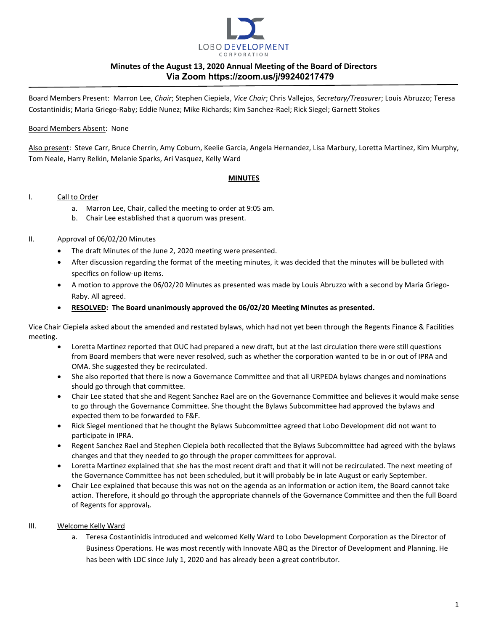

Board Members Present: Marron Lee, *Chair*; Stephen Ciepiela, *Vice Chair*; Chris Vallejos, *Secretary/Treasurer*; Louis Abruzzo; Teresa Costantinidis; Maria Griego-Raby; Eddie Nunez; Mike Richards; Kim Sanchez-Rael; Rick Siegel; Garnett Stokes

### Board Members Absent: None

Also present: Steve Carr, Bruce Cherrin, Amy Coburn, Keelie Garcia, Angela Hernandez, Lisa Marbury, Loretta Martinez, Kim Murphy, Tom Neale, Harry Relkin, Melanie Sparks, Ari Vasquez, Kelly Ward

### **MINUTES**

#### I. Call to Order

- a. Marron Lee, Chair, called the meeting to order at 9:05 am.
- b. Chair Lee established that a quorum was present.

### II. Approval of 06/02/20 Minutes

- The draft Minutes of the June 2, 2020 meeting were presented.
- After discussion regarding the format of the meeting minutes, it was decided that the minutes will be bulleted with specifics on follow-up items.
- A motion to approve the 06/02/20 Minutes as presented was made by Louis Abruzzo with a second by Maria Griego-Raby. All agreed.
- **RESOLVED: The Board unanimously approved the 06/02/20 Meeting Minutes as presented.**

Vice Chair Ciepiela asked about the amended and restated bylaws, which had not yet been through the Regents Finance & Facilities meeting.

- Loretta Martinez reported that OUC had prepared a new draft, but at the last circulation there were still questions from Board members that were never resolved, such as whether the corporation wanted to be in or out of IPRA and OMA. She suggested they be recirculated.
- She also reported that there is now a Governance Committee and that all URPEDA bylaws changes and nominations should go through that committee.
- Chair Lee stated that she and Regent Sanchez Rael are on the Governance Committee and believes it would make sense to go through the Governance Committee. She thought the Bylaws Subcommittee had approved the bylaws and expected them to be forwarded to F&F.
- Rick Siegel mentioned that he thought the Bylaws Subcommittee agreed that Lobo Development did not want to participate in IPRA.
- Regent Sanchez Rael and Stephen Ciepiela both recollected that the Bylaws Subcommittee had agreed with the bylaws changes and that they needed to go through the proper committees for approval.
- Loretta Martinez explained that she has the most recent draft and that it will not be recirculated. The next meeting of the Governance Committee has not been scheduled, but it will probably be in late August or early September.
- Chair Lee explained that because this was not on the agenda as an information or action item, the Board cannot take action. Therefore, it should go through the appropriate channels of the Governance Committee and then the full Board of Regents for approval**₁**.

#### III. Welcome Kelly Ward

a. Teresa Costantinidis introduced and welcomed Kelly Ward to Lobo Development Corporation as the Director of Business Operations. He was most recently with Innovate ABQ as the Director of Development and Planning. He has been with LDC since July 1, 2020 and has already been a great contributor.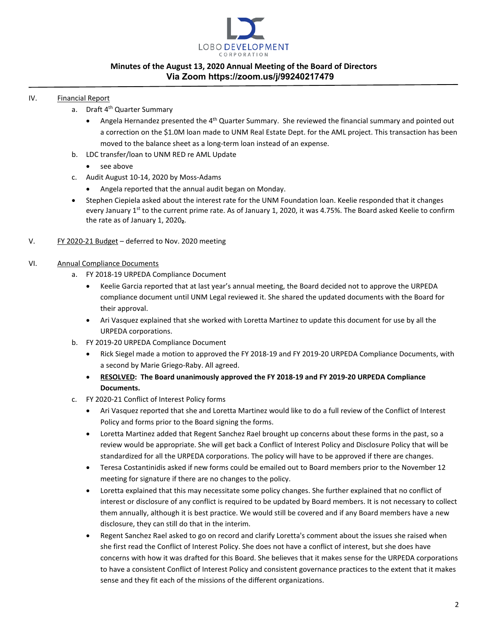

### IV. Financial Report

- a. Draft 4<sup>th</sup> Quarter Summary
	- Angela Hernandez presented the  $4<sup>th</sup>$  Quarter Summary. She reviewed the financial summary and pointed out a correction on the \$1.0M loan made to UNM Real Estate Dept. for the AML project. This transaction has been moved to the balance sheet as a long-term loan instead of an expense.
- b. LDC transfer/loan to UNM RED re AML Update
	- see above
- c. Audit August 10-14, 2020 by Moss-Adams
	- Angela reported that the annual audit began on Monday.
- Stephen Ciepiela asked about the interest rate for the UNM Foundation loan. Keelie responded that it changes every January 1<sup>st</sup> to the current prime rate. As of January 1, 2020, it was 4.75%. The Board asked Keelie to confirm the rate as of January 1, 2020**₂**.

## V. FY 2020-21 Budget - deferred to Nov. 2020 meeting

## VI. Annual Compliance Documents

- a. FY 2018-19 URPEDA Compliance Document
	- Keelie Garcia reported that at last year's annual meeting, the Board decided not to approve the URPEDA compliance document until UNM Legal reviewed it. She shared the updated documents with the Board for their approval.
	- Ari Vasquez explained that she worked with Loretta Martinez to update this document for use by all the URPEDA corporations.
- b. FY 2019-20 URPEDA Compliance Document
	- Rick Siegel made a motion to approved the FY 2018-19 and FY 2019-20 URPEDA Compliance Documents, with a second by Marie Griego-Raby. All agreed.
	- **RESOLVED: The Board unanimously approved the FY 2018-19 and FY 2019-20 URPEDA Compliance Documents.**
- c. FY 2020-21 Conflict of Interest Policy forms
	- Ari Vasquez reported that she and Loretta Martinez would like to do a full review of the Conflict of Interest Policy and forms prior to the Board signing the forms.
	- Loretta Martinez added that Regent Sanchez Rael brought up concerns about these forms in the past, so a review would be appropriate. She will get back a Conflict of Interest Policy and Disclosure Policy that will be standardized for all the URPEDA corporations. The policy will have to be approved if there are changes.
	- Teresa Costantinidis asked if new forms could be emailed out to Board members prior to the November 12 meeting for signature if there are no changes to the policy.
	- Loretta explained that this may necessitate some policy changes. She further explained that no conflict of interest or disclosure of any conflict is required to be updated by Board members. It is not necessary to collect them annually, although it is best practice. We would still be covered and if any Board members have a new disclosure, they can still do that in the interim.
	- Regent Sanchez Rael asked to go on record and clarify Loretta's comment about the issues she raised when she first read the Conflict of Interest Policy. She does not have a conflict of interest, but she does have concerns with how it was drafted for this Board. She believes that it makes sense for the URPEDA corporations to have a consistent Conflict of Interest Policy and consistent governance practices to the extent that it makes sense and they fit each of the missions of the different organizations.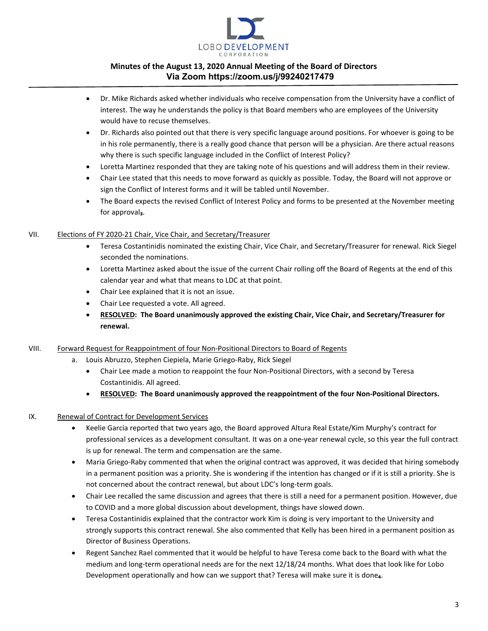

- Dr. Mike Richards asked whether individuals who receive compensation from the University have a conflict of interest. The way he understands the policy is that Board members who are employees of the University would have to recuse themselves.
- Dr. Richards also pointed out that there is very specific language around positions. For whoever is going to be in his role permanently, there is a really good chance that person will be a physician. Are there actual reasons why there is such specific language included in the Conflict of Interest Policy?
- Loretta Martinez responded that they are taking note of his questions and will address them in their review.
- Chair Lee stated that this needs to move forward as quickly as possible. Today, the Board will not approve or sign the Conflict of Interest forms and it will be tabled until November.
- The Board expects the revised Conflict of Interest Policy and forms to be presented at the November meeting for approval<sub>3</sub>.

# VII. Elections of FY 2020-21 Chair, Vice Chair, and Secretary/Treasurer

- Teresa Costantinidis nominated the existing Chair, Vice Chair, and Secretary/Treasurer for renewal. Rick Siegel seconded the nominations.
- Loretta Martinez asked about the issue of the current Chair rolling off the Board of Regents at the end of this calendar year and what that means to LDC at that point.
- Chair Lee explained that it is not an issue.
- Chair Lee requested a vote. All agreed.
- **RESOLVED: The Board unanimously approved the existing Chair, Vice Chair, and Secretary/Treasurer for renewal.**

## VIII. Forward Request for Reappointment of four Non-Positional Directors to Board of Regents

- a. Louis Abruzzo, Stephen Ciepiela, Marie Griego-Raby, Rick Siegel
	- Chair Lee made a motion to reappoint the four Non-Positional Directors, with a second by Teresa Costantinidis. All agreed.
	- **RESOLVED: The Board unanimously approved the reappointment of the four Non-Positional Directors.**

## IX. Renewal of Contract for Development Services

- Keelie Garcia reported that two years ago, the Board approved Altura Real Estate/Kim Murphy's contract for professional services as a development consultant. It was on a one-year renewal cycle, so this year the full contract is up for renewal. The term and compensation are the same.
- Maria Griego-Raby commented that when the original contract was approved, it was decided that hiring somebody in a permanent position was a priority. She is wondering if the intention has changed or if it is still a priority. She is not concerned about the contract renewal, but about LDC's long-term goals.
- Chair Lee recalled the same discussion and agrees that there is still a need for a permanent position. However, due to COVID and a more global discussion about development, things have slowed down.
- Teresa Costantinidis explained that the contractor work Kim is doing is very important to the University and strongly supports this contract renewal. She also commented that Kelly has been hired in a permanent position as Director of Business Operations.
- Regent Sanchez Rael commented that it would be helpful to have Teresa come back to the Board with what the medium and long-term operational needs are for the next 12/18/24 months. What does that look like for Lobo Development operationally and how can we support that? Teresa will make sure it is done<sub>4</sub>.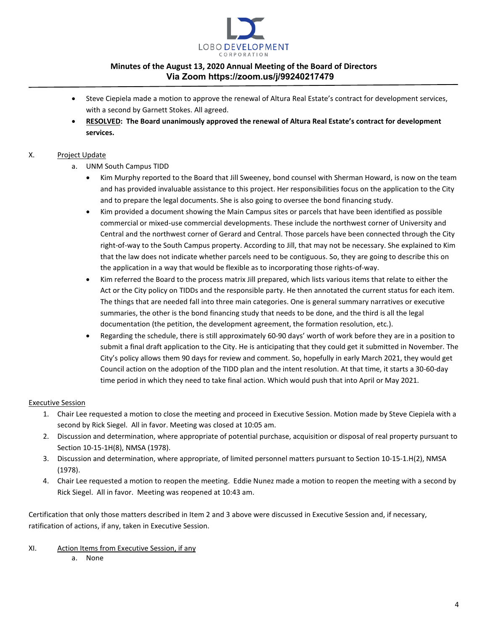

- Steve Ciepiela made a motion to approve the renewal of Altura Real Estate's contract for development services, with a second by Garnett Stokes. All agreed.
- **RESOLVED: The Board unanimously approved the renewal of Altura Real Estate's contract for development services.**

## X. Project Update

- a. UNM South Campus TIDD
	- Kim Murphy reported to the Board that Jill Sweeney, bond counsel with Sherman Howard, is now on the team and has provided invaluable assistance to this project. Her responsibilities focus on the application to the City and to prepare the legal documents. She is also going to oversee the bond financing study.
	- Kim provided a document showing the Main Campus sites or parcels that have been identified as possible commercial or mixed-use commercial developments. These include the northwest corner of University and Central and the northwest corner of Gerard and Central. Those parcels have been connected through the City right-of-way to the South Campus property. According to Jill, that may not be necessary. She explained to Kim that the law does not indicate whether parcels need to be contiguous. So, they are going to describe this on the application in a way that would be flexible as to incorporating those rights-of-way.
	- Kim referred the Board to the process matrix Jill prepared, which lists various items that relate to either the Act or the City policy on TIDDs and the responsible party. He then annotated the current status for each item. The things that are needed fall into three main categories. One is general summary narratives or executive summaries, the other is the bond financing study that needs to be done, and the third is all the legal documentation (the petition, the development agreement, the formation resolution, etc.).
	- Regarding the schedule, there is still approximately 60-90 days' worth of work before they are in a position to submit a final draft application to the City. He is anticipating that they could get it submitted in November. The City's policy allows them 90 days for review and comment. So, hopefully in early March 2021, they would get Council action on the adoption of the TIDD plan and the intent resolution. At that time, it starts a 30-60-day time period in which they need to take final action. Which would push that into April or May 2021.

## Executive Session

- 1. Chair Lee requested a motion to close the meeting and proceed in Executive Session. Motion made by Steve Ciepiela with a second by Rick Siegel. All in favor. Meeting was closed at 10:05 am.
- 2. Discussion and determination, where appropriate of potential purchase, acquisition or disposal of real property pursuant to Section 10-15-1H(8), NMSA (1978).
- 3. Discussion and determination, where appropriate, of limited personnel matters pursuant to Section 10-15-1.H(2), NMSA (1978).
- 4. Chair Lee requested a motion to reopen the meeting. Eddie Nunez made a motion to reopen the meeting with a second by Rick Siegel. All in favor. Meeting was reopened at 10:43 am.

Certification that only those matters described in Item 2 and 3 above were discussed in Executive Session and, if necessary, ratification of actions, if any, taken in Executive Session.

XI. Action Items from Executive Session, if any

a. None